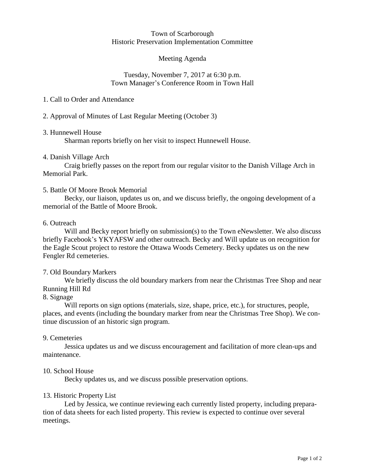#### Town of Scarborough Historic Preservation Implementation Committee

## Meeting Agenda

#### Tuesday, November 7, 2017 at 6:30 p.m. Town Manager's Conference Room in Town Hall

## 1. Call to Order and Attendance

## 2. Approval of Minutes of Last Regular Meeting (October 3)

## 3. Hunnewell House

Sharman reports briefly on her visit to inspect Hunnewell House.

## 4. Danish Village Arch

Craig briefly passes on the report from our regular visitor to the Danish Village Arch in Memorial Park.

## 5. Battle Of Moore Brook Memorial

Becky, our liaison, updates us on, and we discuss briefly, the ongoing development of a memorial of the Battle of Moore Brook.

## 6. Outreach

Will and Becky report briefly on submission(s) to the Town eNewsletter. We also discuss briefly Facebook's YKYAFSW and other outreach. Becky and Will update us on recognition for the Eagle Scout project to restore the Ottawa Woods Cemetery. Becky updates us on the new Fengler Rd cemeteries.

# 7. Old Boundary Markers

We briefly discuss the old boundary markers from near the Christmas Tree Shop and near Running Hill Rd

#### 8. Signage

Will reports on sign options (materials, size, shape, price, etc.), for structures, people, places, and events (including the boundary marker from near the Christmas Tree Shop). We continue discussion of an historic sign program.

#### 9. Cemeteries

Jessica updates us and we discuss encouragement and facilitation of more clean-ups and maintenance.

#### 10. School House

Becky updates us, and we discuss possible preservation options.

#### 13. Historic Property List

Led by Jessica, we continue reviewing each currently listed property, including preparation of data sheets for each listed property. This review is expected to continue over several meetings.